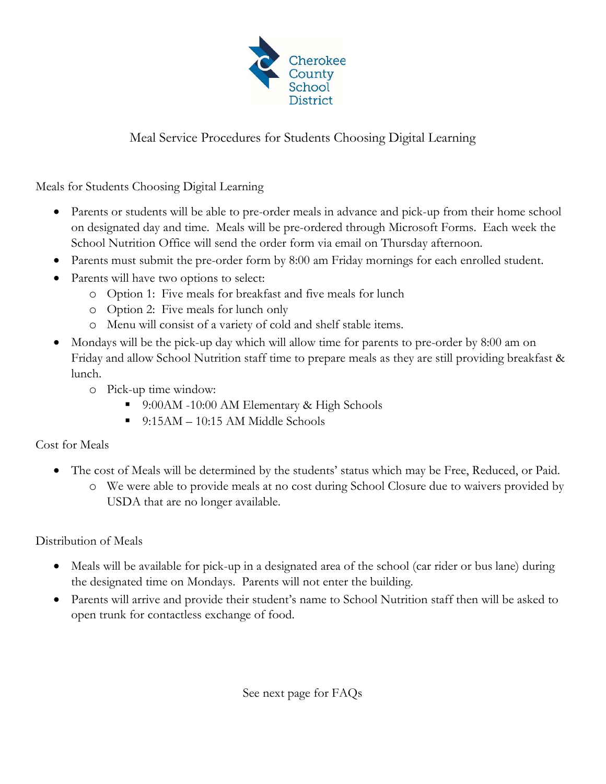

## Meal Service Procedures for Students Choosing Digital Learning

Meals for Students Choosing Digital Learning

- Parents or students will be able to pre-order meals in advance and pick-up from their home school on designated day and time. Meals will be pre-ordered through Microsoft Forms. Each week the School Nutrition Office will send the order form via email on Thursday afternoon.
- Parents must submit the pre-order form by 8:00 am Friday mornings for each enrolled student.
- Parents will have two options to select:
	- o Option 1: Five meals for breakfast and five meals for lunch
	- o Option 2: Five meals for lunch only
	- o Menu will consist of a variety of cold and shelf stable items.
- Mondays will be the pick-up day which will allow time for parents to pre-order by 8:00 am on Friday and allow School Nutrition staff time to prepare meals as they are still providing breakfast & lunch.
	- o Pick-up time window:
		- 9:00AM -10:00 AM Elementary & High Schools
		- $\blacksquare$  9:15AM 10:15 AM Middle Schools

## Cost for Meals

- The cost of Meals will be determined by the students' status which may be Free, Reduced, or Paid.
	- o We were able to provide meals at no cost during School Closure due to waivers provided by USDA that are no longer available.

Distribution of Meals

- Meals will be available for pick-up in a designated area of the school (car rider or bus lane) during the designated time on Mondays. Parents will not enter the building.
- Parents will arrive and provide their student's name to School Nutrition staff then will be asked to open trunk for contactless exchange of food.